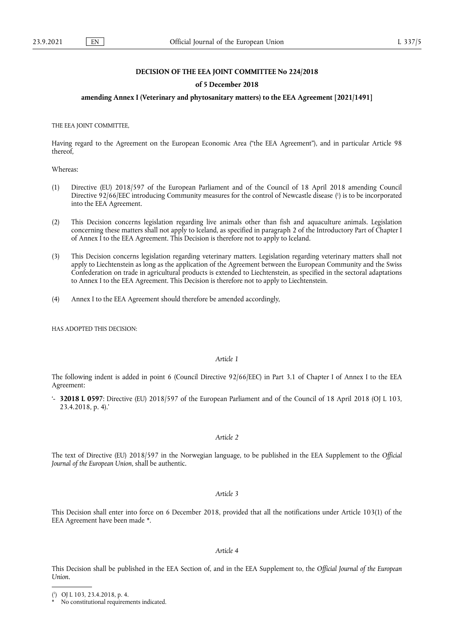# **DECISION OF THE EEA JOINT COMMITTEE No 224/2018**

# **of 5 December 2018**

# **amending Annex I (Veterinary and phytosanitary matters) to the EEA Agreement [2021/1491]**

THE EEA JOINT COMMITTEE,

Having regard to the Agreement on the European Economic Area ("the EEA Agreement"), and in particular Article 98 thereof,

Whereas:

- <span id="page-0-2"></span>(1) Directive (EU) 2018/597 of the European Parliament and of the Council of 18 April 2018 amending Council Directive 92/66/EEC introducing Community measures for the control of Newcastle disease [\(](#page-0-0) 1 ) is to be incorporated into the EEA Agreement.
- (2) This Decision concerns legislation regarding live animals other than fish and aquaculture animals. Legislation concerning these matters shall not apply to Iceland, as specified in paragraph 2 of the Introductory Part of Chapter I of Annex I to the EEA Agreement. This Decision is therefore not to apply to Iceland.
- (3) This Decision concerns legislation regarding veterinary matters. Legislation regarding veterinary matters shall not apply to Liechtenstein as long as the application of the Agreement between the European Community and the Swiss Confederation on trade in agricultural products is extended to Liechtenstein, as specified in the sectoral adaptations to Annex I to the EEA Agreement. This Decision is therefore not to apply to Liechtenstein.
- (4) Annex I to the EEA Agreement should therefore be amended accordingly,

HAS ADOPTED THIS DECISION:

### *Article 1*

The following indent is added in point 6 (Council Directive 92/66/EEC) in Part 3.1 of Chapter I of Annex I to the EEA Agreement:

'- **32018 L 0597**: Directive (EU) 2018/597 of the European Parliament and of the Council of 18 April 2018 (OJ L 103, 23.4.2018, p. 4).'

# *Article 2*

The text of Directive (EU) 2018/597 in the Norwegian language, to be published in the EEA Supplement to the *Official Journal of the European Union*, shall be authentic.

*Article 3*

<span id="page-0-3"></span>This Decision shall enter into force on 6 December 2018, provided that all the notifications under Article 103(1) of the EEA Agreement have been made [\\*](#page-0-1).

#### *Article 4*

This Decision shall be published in the EEA Section of, and in the EEA Supplement to, the *Official Journal of the European Union*.

<span id="page-0-0"></span>[<sup>\(</sup>](#page-0-2) 1 ) OJ L 103, 23.4.2018, p. 4.

<span id="page-0-1"></span>No constitutional requirements indicated.